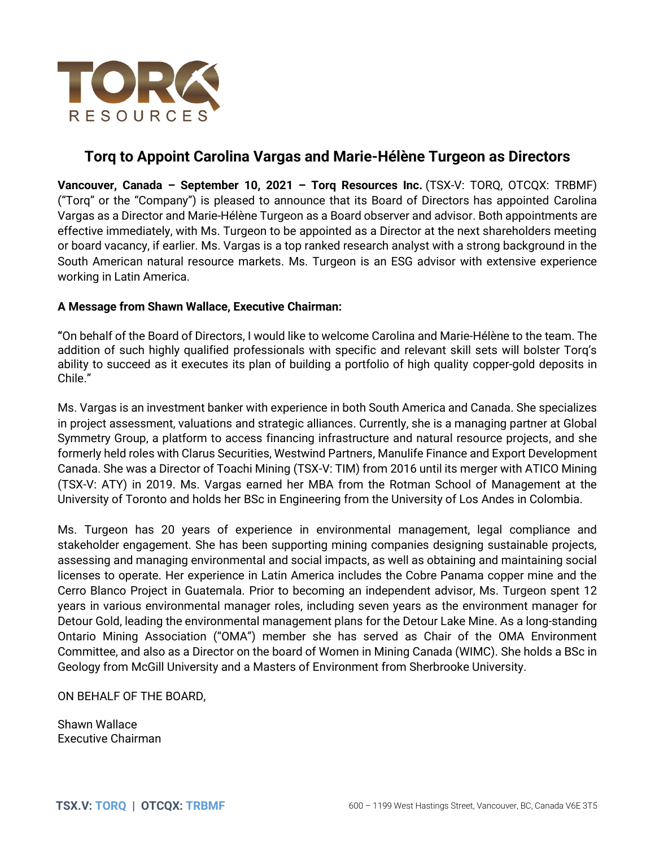

## **Torq to Appoint Carolina Vargas and Marie-Hélène Turgeon as Directors**

**Vancouver, Canada – September 10, 2021 – Torq Resources Inc.** (TSX-V: TORQ, OTCQX: TRBMF) ("Torq" or the "Company") is pleased to announce that its Board of Directors has appointed Carolina Vargas as a Director and Marie-Hélène Turgeon as a Board observer and advisor. Both appointments are effective immediately, with Ms. Turgeon to be appointed as a Director at the next shareholders meeting or board vacancy, if earlier. Ms. Vargas is a top ranked research analyst with a strong background in the South American natural resource markets. Ms. Turgeon is an ESG advisor with extensive experience working in Latin America.

## **A Message from Shawn Wallace, Executive Chairman:**

**"**On behalf of the Board of Directors, I would like to welcome Carolina and Marie-Hélène to the team. The addition of such highly qualified professionals with specific and relevant skill sets will bolster Torq's ability to succeed as it executes its plan of building a portfolio of high quality copper-gold deposits in Chile."

Ms. Vargas is an investment banker with experience in both South America and Canada. She specializes in project assessment, valuations and strategic alliances. Currently, she is a managing partner at Global Symmetry Group, a platform to access financing infrastructure and natural resource projects, and she formerly held roles with Clarus Securities, Westwind Partners, Manulife Finance and Export Development Canada. She was a Director of Toachi Mining (TSX-V: TIM) from 2016 until its merger with ATICO Mining (TSX-V: ATY) in 2019. Ms. Vargas earned her MBA from the Rotman School of Management at the University of Toronto and holds her BSc in Engineering from the University of Los Andes in Colombia.

Ms. Turgeon has 20 years of experience in environmental management, legal compliance and stakeholder engagement. She has been supporting mining companies designing sustainable projects, assessing and managing environmental and social impacts, as well as obtaining and maintaining social licenses to operate. Her experience in Latin America includes the Cobre Panama copper mine and the Cerro Blanco Project in Guatemala. Prior to becoming an independent advisor, Ms. Turgeon spent 12 years in various environmental manager roles, including seven years as the environment manager for Detour Gold, leading the environmental management plans for the Detour Lake Mine. As a long-standing Ontario Mining Association ("OMA") member she has served as Chair of the OMA Environment Committee, and also as a Director on the board of Women in Mining Canada (WIMC). She holds a BSc in Geology from McGill University and a Masters of Environment from Sherbrooke University.

ON BEHALF OF THE BOARD,

Shawn Wallace Executive Chairman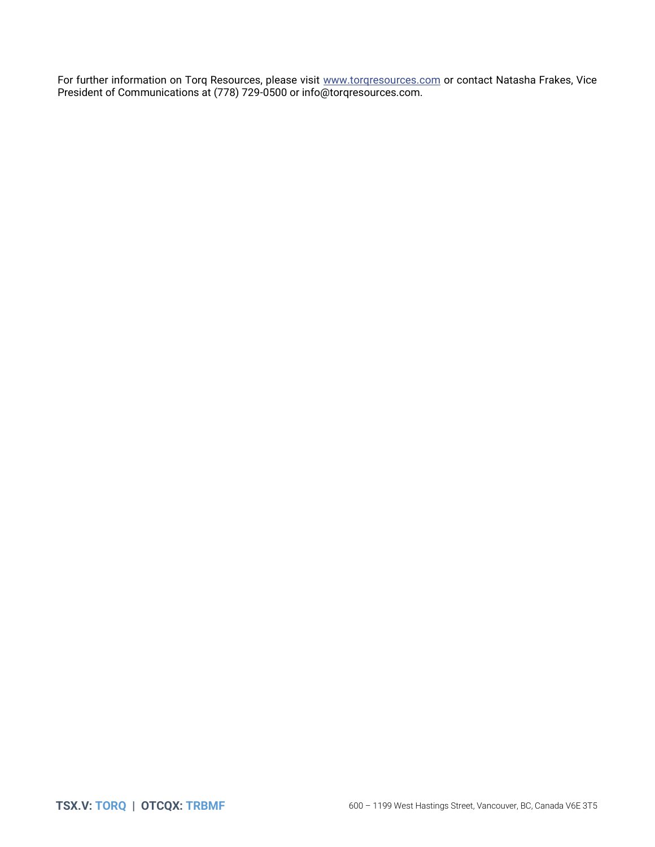For further information on Torq Resources, please visit <u>www.torqresources.com</u> or contact Natasha Frakes, Vice President of Communications at (778) 729-0500 or info@torqresources.com.